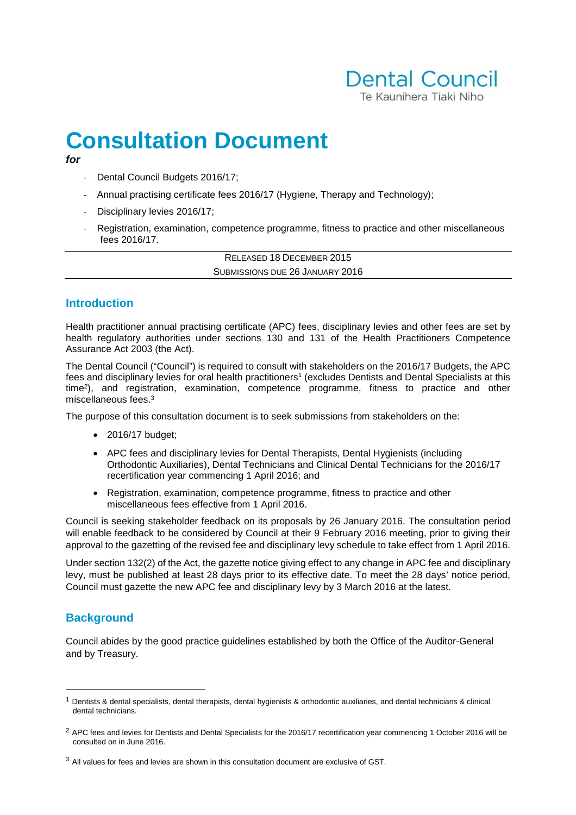

# **Consultation Document**

- **for**
	- Dental Council Budgets 2016/17;
	- Annual practising certificate fees 2016/17 (Hygiene, Therapy and Technology);
	- Disciplinary levies 2016/17;
	- Registration, examination, competence programme, fitness to practice and other miscellaneous fees 2016/17.

RELEASED 18 DECEMBER 2015 SUBMISSIONS DUE 26 JANUARY 2016

# **Introduction**

Health practitioner annual practising certificate (APC) fees, disciplinary levies and other fees are set by health regulatory authorities under sections 130 and 131 of the Health Practitioners Competence Assurance Act 2003 (the Act).

The Dental Council ("Council") is required to consult with stakeholders on the 2016/17 Budgets, the APC fees and disciplinary levies for oral health practitioners<sup>1</sup> (excludes Dentists and Dental Specialists at this time<sup>2</sup> ), and registration, examination, competence programme, fitness to practice and other miscellaneous fees.<sup>3</sup>

The purpose of this consultation document is to seek submissions from stakeholders on the:

- 2016/17 budget;
- APC fees and disciplinary levies for Dental Therapists, Dental Hygienists (including Orthodontic Auxiliaries), Dental Technicians and Clinical Dental Technicians for the 2016/17 recertification year commencing 1 April 2016; and
- Registration, examination, competence programme, fitness to practice and other miscellaneous fees effective from 1 April 2016.

Council is seeking stakeholder feedback on its proposals by 26 January 2016. The consultation period will enable feedback to be considered by Council at their 9 February 2016 meeting, prior to giving their approval to the gazetting of the revised fee and disciplinary levy schedule to take effect from 1 April 2016.

Under section 132(2) of the Act, the gazette notice giving effect to any change in APC fee and disciplinary levy, must be published at least 28 days prior to its effective date. To meet the 28 days' notice period, Council must gazette the new APC fee and disciplinary levy by 3 March 2016 at the latest.

# **Background**

 $\overline{a}$ 

Council abides by the good practice guidelines established by both the Office of the Auditor-General and by Treasury.

 $1$  Dentists & dental specialists, dental therapists, dental hygienists & orthodontic auxiliaries, and dental technicians & clinical dental technicians.

<sup>&</sup>lt;sup>2</sup> APC fees and levies for Dentists and Dental Specialists for the 2016/17 recertification year commencing 1 October 2016 will be consulted on in June 2016.

<sup>&</sup>lt;sup>3</sup> All values for fees and levies are shown in this consultation document are exclusive of GST.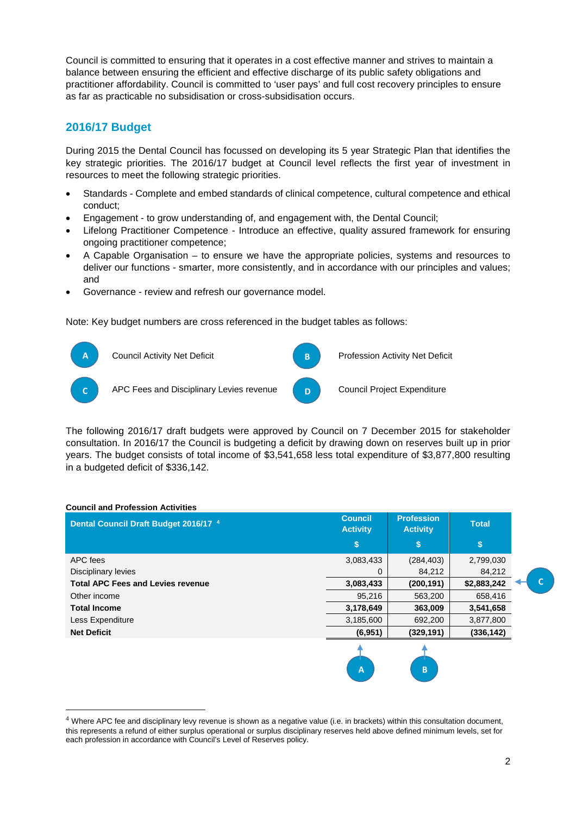Council is committed to ensuring that it operates in a cost effective manner and strives to maintain a balance between ensuring the efficient and effective discharge of its public safety obligations and practitioner affordability. Council is committed to 'user pays' and full cost recovery principles to ensure as far as practicable no subsidisation or cross-subsidisation occurs.

# **2016/17 Budget**

During 2015 the Dental Council has focussed on developing its 5 year Strategic Plan that identifies the key strategic priorities. The 2016/17 budget at Council level reflects the first year of investment in resources to meet the following strategic priorities.

- Standards Complete and embed standards of clinical competence, cultural competence and ethical conduct;
- Engagement to grow understanding of, and engagement with, the Dental Council;
- Lifelong Practitioner Competence Introduce an effective, quality assured framework for ensuring ongoing practitioner competence;
- A Capable Organisation to ensure we have the appropriate policies, systems and resources to deliver our functions - smarter, more consistently, and in accordance with our principles and values; and
- Governance review and refresh our governance model.

Note: Key budget numbers are cross referenced in the budget tables as follows:



The following 2016/17 draft budgets were approved by Council on 7 December 2015 for stakeholder consultation. In 2016/17 the Council is budgeting a deficit by drawing down on reserves built up in prior years. The budget consists of total income of \$3,541,658 less total expenditure of \$3,877,800 resulting in a budgeted deficit of \$336,142.

| Dental Council Draft Budget 2016/17 4    | <b>Council</b><br><b>Activity</b> | <b>Profession</b><br><b>Activity</b> | <b>Total</b> |
|------------------------------------------|-----------------------------------|--------------------------------------|--------------|
|                                          | \$                                | \$                                   | \$           |
| APC fees                                 | 3,083,433                         | (284, 403)                           | 2,799,030    |
| Disciplinary levies                      | 0                                 | 84,212                               | 84,212       |
| <b>Total APC Fees and Levies revenue</b> | 3,083,433                         | (200, 191)                           | \$2,883,242  |
| Other income                             | 95,216                            | 563,200                              | 658,416      |
| <b>Total Income</b>                      | 3,178,649                         | 363,009                              | 3,541,658    |
| Less Expenditure                         | 3,185,600                         | 692,200                              | 3,877,800    |
| <b>Net Deficit</b>                       | (6,951)                           | (329, 191)                           | (336, 142)   |
|                                          |                                   | B                                    |              |

## **Council and Profession Activities**

 $\overline{a}$ 

C

<sup>&</sup>lt;sup>4</sup> Where APC fee and disciplinary levy revenue is shown as a negative value (i.e. in brackets) within this consultation document, this represents a refund of either surplus operational or surplus disciplinary reserves held above defined minimum levels, set for each profession in accordance with Council's Level of Reserves policy.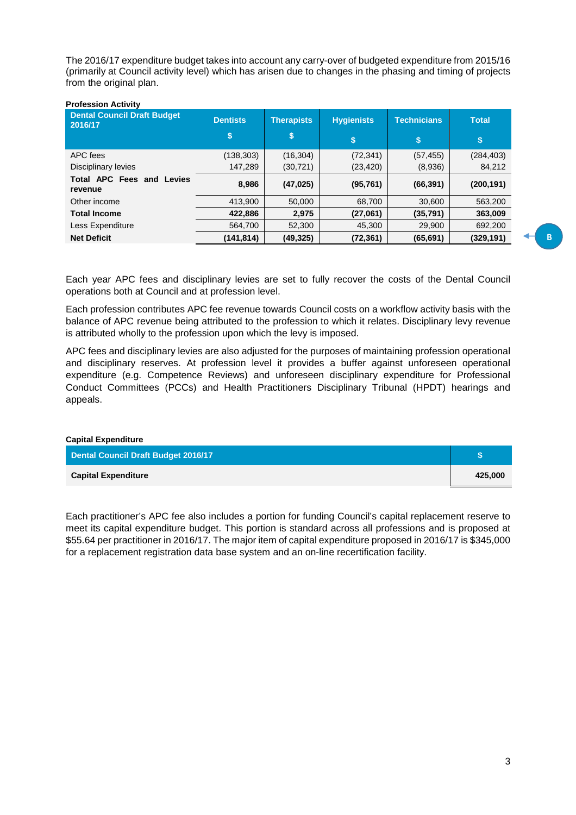The 2016/17 expenditure budget takes into account any carry-over of budgeted expenditure from 2015/16 (primarily at Council activity level) which has arisen due to changes in the phasing and timing of projects from the original plan.

| <b>Profession Activity</b>                    |                 |                   |                   |                    |              |
|-----------------------------------------------|-----------------|-------------------|-------------------|--------------------|--------------|
| <b>Dental Council Draft Budget</b><br>2016/17 | <b>Dentists</b> | <b>Therapists</b> | <b>Hygienists</b> | <b>Technicians</b> | <b>Total</b> |
|                                               | \$              | \$                | \$                | \$                 | \$           |
| APC fees                                      | (138,303)       | (16, 304)         | (72, 341)         | (57, 455)          | (284, 403)   |
| Disciplinary levies                           | 147.289         | (30, 721)         | (23, 420)         | (8,936)            | 84,212       |
| <b>Total APC Fees and Levies</b><br>revenue   | 8,986           | (47, 025)         | (95, 761)         | (66, 391)          | (200, 191)   |
| Other income                                  | 413,900         | 50,000            | 68,700            | 30,600             | 563,200      |
| <b>Total Income</b>                           | 422.886         | 2,975             | (27,061)          | (35, 791)          | 363,009      |
| Less Expenditure                              | 564.700         | 52,300            | 45.300            | 29,900             | 692,200      |
| <b>Net Deficit</b>                            | (141,814)       | (49, 325)         | (72, 361)         | (65, 691)          | (329,191)    |

Each year APC fees and disciplinary levies are set to fully recover the costs of the Dental Council operations both at Council and at profession level.

Each profession contributes APC fee revenue towards Council costs on a workflow activity basis with the balance of APC revenue being attributed to the profession to which it relates. Disciplinary levy revenue is attributed wholly to the profession upon which the levy is imposed.

APC fees and disciplinary levies are also adjusted for the purposes of maintaining profession operational and disciplinary reserves. At profession level it provides a buffer against unforeseen operational expenditure (e.g. Competence Reviews) and unforeseen disciplinary expenditure for Professional Conduct Committees (PCCs) and Health Practitioners Disciplinary Tribunal (HPDT) hearings and appeals.

| <b>Capital Expenditure</b>          |         |
|-------------------------------------|---------|
| Dental Council Draft Budget 2016/17 |         |
| <b>Capital Expenditure</b>          | 425,000 |

Each practitioner's APC fee also includes a portion for funding Council's capital replacement reserve to meet its capital expenditure budget. This portion is standard across all professions and is proposed at \$55.64 per practitioner in 2016/17. The major item of capital expenditure proposed in 2016/17 is \$345,000 for a replacement registration data base system and an on-line recertification facility.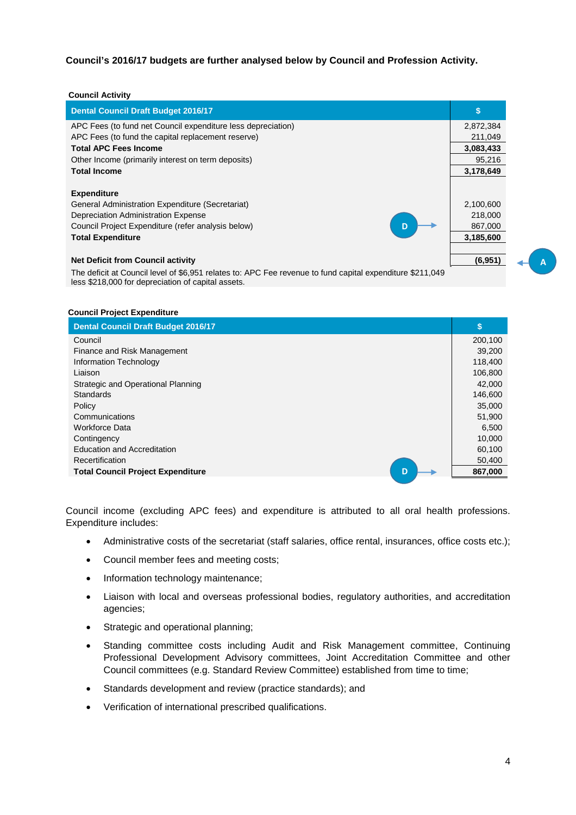**Council's 2016/17 budgets are further analysed below by Council and Profession Activity.** 

| <b>Council Activity</b>                                                                                                                                         |           |
|-----------------------------------------------------------------------------------------------------------------------------------------------------------------|-----------|
| <b>Dental Council Draft Budget 2016/17</b>                                                                                                                      | \$        |
| APC Fees (to fund net Council expenditure less depreciation)                                                                                                    | 2,872,384 |
| APC Fees (to fund the capital replacement reserve)                                                                                                              | 211,049   |
| <b>Total APC Fees Income</b>                                                                                                                                    | 3,083,433 |
| Other Income (primarily interest on term deposits)                                                                                                              | 95,216    |
| <b>Total Income</b>                                                                                                                                             | 3,178,649 |
|                                                                                                                                                                 |           |
| <b>Expenditure</b>                                                                                                                                              |           |
| General Administration Expenditure (Secretariat)                                                                                                                | 2,100,600 |
| Depreciation Administration Expense                                                                                                                             | 218,000   |
| Council Project Expenditure (refer analysis below)<br>D                                                                                                         | 867,000   |
| <b>Total Expenditure</b>                                                                                                                                        | 3,185,600 |
|                                                                                                                                                                 |           |
| <b>Net Deficit from Council activity</b>                                                                                                                        | (6,951)   |
| The deficit at Council level of \$6,951 relates to: APC Fee revenue to fund capital expenditure \$211,049<br>less \$218,000 for depreciation of capital assets. |           |

#### **Council Project Expenditure**

| <b>Dental Council Draft Budget 2016/17</b>    | \$      |
|-----------------------------------------------|---------|
| Council                                       | 200,100 |
| Finance and Risk Management                   | 39,200  |
| Information Technology                        | 118,400 |
| Liaison                                       | 106,800 |
| Strategic and Operational Planning            | 42,000  |
| <b>Standards</b>                              | 146,600 |
| Policy                                        | 35,000  |
| Communications                                | 51,900  |
| <b>Workforce Data</b>                         | 6,500   |
| Contingency                                   | 10,000  |
| <b>Education and Accreditation</b>            | 60,100  |
| <b>Recertification</b>                        | 50,400  |
| <b>Total Council Project Expenditure</b><br>D | 867,000 |

Council income (excluding APC fees) and expenditure is attributed to all oral health professions. Expenditure includes:

- Administrative costs of the secretariat (staff salaries, office rental, insurances, office costs etc.);
- Council member fees and meeting costs;
- Information technology maintenance;
- Liaison with local and overseas professional bodies, regulatory authorities, and accreditation agencies;
- Strategic and operational planning;
- Standing committee costs including Audit and Risk Management committee, Continuing Professional Development Advisory committees, Joint Accreditation Committee and other Council committees (e.g. Standard Review Committee) established from time to time;
- Standards development and review (practice standards); and
- Verification of international prescribed qualifications.

A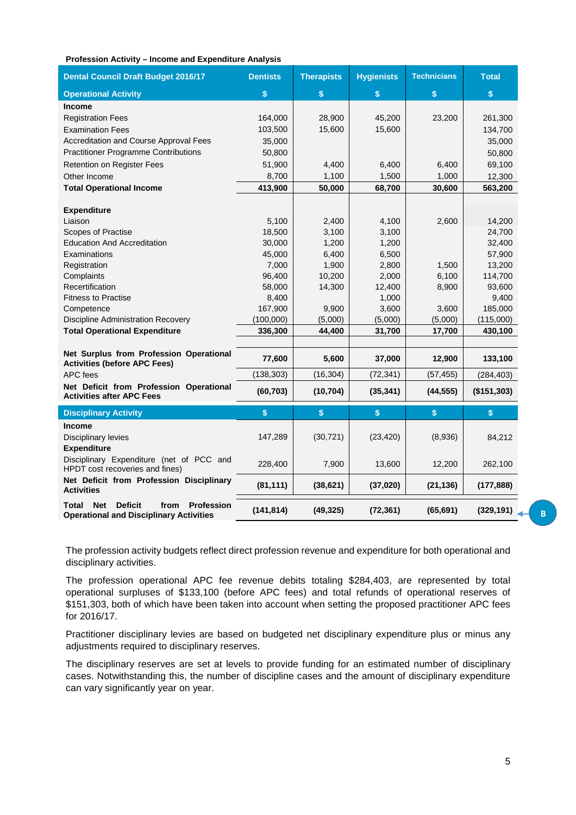#### **Profession Activity – Income and Expenditure Analysis**

| <b>Dental Council Draft Budget 2016/17</b>                                                                                  | <b>Dentists</b> | <b>Therapists</b> | <b>Hygienists</b> | <b>Technicians</b> | <b>Total</b> |
|-----------------------------------------------------------------------------------------------------------------------------|-----------------|-------------------|-------------------|--------------------|--------------|
| <b>Operational Activity</b>                                                                                                 | \$              | \$                | \$                | \$                 | \$           |
| <b>Income</b>                                                                                                               |                 |                   |                   |                    |              |
| <b>Registration Fees</b>                                                                                                    | 164,000         | 28,900            | 45,200            | 23,200             | 261,300      |
| <b>Examination Fees</b>                                                                                                     | 103,500         | 15,600            | 15,600            |                    | 134,700      |
| Accreditation and Course Approval Fees                                                                                      | 35,000          |                   |                   |                    | 35,000       |
| <b>Practitioner Programme Contributions</b>                                                                                 | 50,800          |                   |                   |                    | 50,800       |
| Retention on Register Fees                                                                                                  | 51,900          | 4,400             | 6,400             | 6,400              | 69,100       |
| Other Income                                                                                                                | 8,700           | 1,100             | 1,500             | 1,000              | 12,300       |
| <b>Total Operational Income</b>                                                                                             | 413,900         | 50,000            | 68,700            | 30,600             | 563,200      |
|                                                                                                                             |                 |                   |                   |                    |              |
| <b>Expenditure</b>                                                                                                          |                 |                   |                   |                    |              |
| Liaison                                                                                                                     | 5,100           | 2,400             | 4,100             | 2,600              | 14,200       |
| Scopes of Practise                                                                                                          | 18,500          | 3,100             | 3,100             |                    | 24,700       |
| <b>Education And Accreditation</b>                                                                                          | 30,000          | 1,200             | 1,200             |                    | 32,400       |
| Examinations                                                                                                                | 45,000          | 6,400             | 6,500             |                    | 57,900       |
| Registration                                                                                                                | 7,000           | 1,900             | 2,800             | 1,500              | 13,200       |
| Complaints                                                                                                                  | 96,400          | 10,200            | 2,000             | 6,100              | 114,700      |
| Recertification                                                                                                             | 58,000          | 14,300            | 12,400            | 8,900              | 93,600       |
| <b>Fitness to Practise</b>                                                                                                  | 8,400           |                   | 1,000             |                    | 9,400        |
| Competence                                                                                                                  | 167,900         | 9,900             | 3,600             | 3,600              | 185,000      |
| <b>Discipline Administration Recovery</b>                                                                                   | (100,000)       | (5,000)           | (5,000)           | (5,000)            | (115,000)    |
| <b>Total Operational Expenditure</b>                                                                                        | 336,300         | 44,400            | 31,700            | 17,700             | 430,100      |
| Net Surplus from Profession Operational                                                                                     |                 |                   |                   |                    |              |
| <b>Activities (before APC Fees)</b>                                                                                         | 77,600          | 5,600             | 37,000            | 12,900             | 133,100      |
| APC fees                                                                                                                    | (138, 303)      | (16, 304)         | (72, 341)         | (57, 455)          | (284, 403)   |
| Net Deficit from Profession Operational<br><b>Activities after APC Fees</b>                                                 | (60, 703)       | (10, 704)         | (35, 341)         | (44, 555)          | (\$151,303)  |
| <b>Disciplinary Activity</b>                                                                                                | \$              | \$                | \$                | \$                 | \$           |
| <b>Income</b><br>Disciplinary levies                                                                                        | 147,289         | (30, 721)         | (23, 420)         | (8,936)            | 84,212       |
| <b>Expenditure</b><br>Disciplinary Expenditure (net of PCC and<br>HPDT cost recoveries and fines)                           | 228,400         | 7,900             | 13,600            | 12,200             | 262,100      |
| Net Deficit from Profession Disciplinary<br><b>Activities</b>                                                               | (81, 111)       | (38, 621)         | (37, 020)         | (21, 136)          | (177, 888)   |
| <b>Deficit</b><br><b>Net</b><br><b>Profession</b><br><b>Total</b><br>from<br><b>Operational and Disciplinary Activities</b> | (141, 814)      | (49, 325)         | (72, 361)         | (65, 691)          | (329, 191)   |

The profession activity budgets reflect direct profession revenue and expenditure for both operational and disciplinary activities.

The profession operational APC fee revenue debits totaling \$284,403, are represented by total operational surpluses of \$133,100 (before APC fees) and total refunds of operational reserves of \$151,303, both of which have been taken into account when setting the proposed practitioner APC fees for 2016/17.

Practitioner disciplinary levies are based on budgeted net disciplinary expenditure plus or minus any adjustments required to disciplinary reserves.

The disciplinary reserves are set at levels to provide funding for an estimated number of disciplinary cases. Notwithstanding this, the number of discipline cases and the amount of disciplinary expenditure can vary significantly year on year.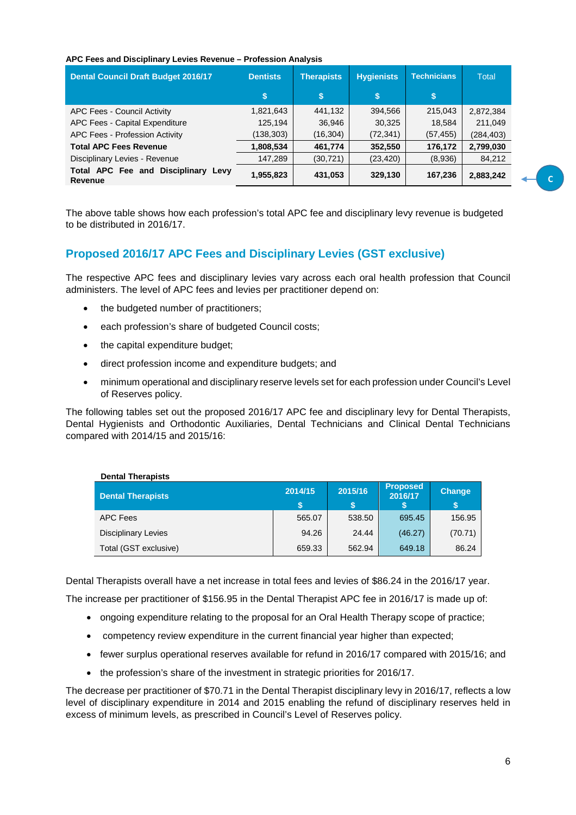#### **APC Fees and Disciplinary Levies Revenue – Profession Analysis**

| <b>Dental Council Draft Budget 2016/17</b>            | <b>Dentists</b> | <b>Therapists</b> | <b>Hygienists</b> | <b>Technicians</b> | <b>Total</b> |
|-------------------------------------------------------|-----------------|-------------------|-------------------|--------------------|--------------|
|                                                       | \$              | \$                | \$                | \$                 |              |
| APC Fees - Council Activity                           | 1,821,643       | 441,132           | 394.566           | 215,043            | 2,872,384    |
| APC Fees - Capital Expenditure                        | 125,194         | 36,946            | 30,325            | 18,584             | 211.049      |
| APC Fees - Profession Activity                        | (138,303)       | (16, 304)         | (72, 341)         | (57, 455)          | (284, 403)   |
| <b>Total APC Fees Revenue</b>                         | 1,808,534       | 461,774           | 352,550           | 176,172            | 2,799,030    |
| Disciplinary Levies - Revenue                         | 147,289         | (30, 721)         | (23, 420)         | (8,936)            | 84,212       |
| Total APC Fee and Disciplinary Levy<br><b>Revenue</b> | 1,955,823       | 431,053           | 329,130           | 167,236            | 2,883,242    |

The above table shows how each profession's total APC fee and disciplinary levy revenue is budgeted to be distributed in 2016/17.

# **Proposed 2016/17 APC Fees and Disciplinary Levies (GST exclusive)**

The respective APC fees and disciplinary levies vary across each oral health profession that Council administers. The level of APC fees and levies per practitioner depend on:

- the budgeted number of practitioners;
- each profession's share of budgeted Council costs;
- the capital expenditure budget:
- direct profession income and expenditure budgets; and
- minimum operational and disciplinary reserve levels set for each profession under Council's Level of Reserves policy.

The following tables set out the proposed 2016/17 APC fee and disciplinary levy for Dental Therapists, Dental Hygienists and Orthodontic Auxiliaries, Dental Technicians and Clinical Dental Technicians compared with 2014/15 and 2015/16:

| <b>Dental Therapists</b>   |         |         |                            |               |
|----------------------------|---------|---------|----------------------------|---------------|
| <b>Dental Therapists</b>   | 2014/15 | 2015/16 | <b>Proposed</b><br>2016/17 | <b>Change</b> |
| <b>APC Fees</b>            | 565.07  | 538.50  | 695.45                     | 156.95        |
| <b>Disciplinary Levies</b> | 94.26   | 24.44   | (46.27)                    | (70.71)       |
| Total (GST exclusive)      | 659.33  | 562.94  | 649.18                     | 86.24         |

Dental Therapists overall have a net increase in total fees and levies of \$86.24 in the 2016/17 year. The increase per practitioner of \$156.95 in the Dental Therapist APC fee in 2016/17 is made up of:

- ongoing expenditure relating to the proposal for an Oral Health Therapy scope of practice;
- competency review expenditure in the current financial year higher than expected;
- fewer surplus operational reserves available for refund in 2016/17 compared with 2015/16; and
- the profession's share of the investment in strategic priorities for 2016/17.

The decrease per practitioner of \$70.71 in the Dental Therapist disciplinary levy in 2016/17, reflects a low level of disciplinary expenditure in 2014 and 2015 enabling the refund of disciplinary reserves held in excess of minimum levels, as prescribed in Council's Level of Reserves policy.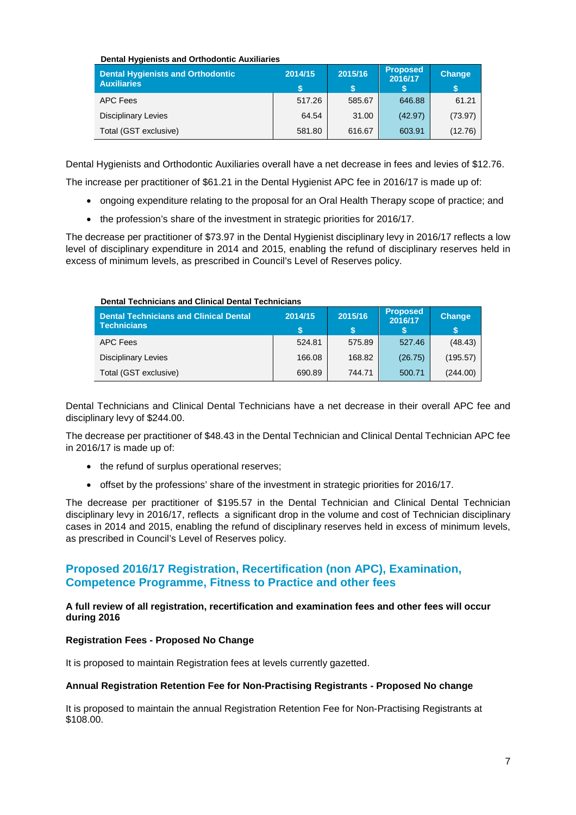#### **Dental Hygienists and Orthodontic Auxiliaries**

| <b>Dental Hygienists and Orthodontic</b><br><b>Auxiliaries</b> | 2014/15 | 2015/16 | <b>Proposed</b><br>2016/17 | <b>Change</b> |
|----------------------------------------------------------------|---------|---------|----------------------------|---------------|
| APC Fees                                                       | 517.26  | 585.67  | 646.88                     | 61.21         |
| <b>Disciplinary Levies</b>                                     | 64.54   | 31.00   | (42.97)                    | (73.97)       |
| Total (GST exclusive)                                          | 581.80  | 616.67  | 603.91                     | (12.76)       |

Dental Hygienists and Orthodontic Auxiliaries overall have a net decrease in fees and levies of \$12.76.

The increase per practitioner of \$61.21 in the Dental Hygienist APC fee in 2016/17 is made up of:

- ongoing expenditure relating to the proposal for an Oral Health Therapy scope of practice; and
- the profession's share of the investment in strategic priorities for 2016/17.

The decrease per practitioner of \$73.97 in the Dental Hygienist disciplinary levy in 2016/17 reflects a low level of disciplinary expenditure in 2014 and 2015, enabling the refund of disciplinary reserves held in excess of minimum levels, as prescribed in Council's Level of Reserves policy.

| <b>Dental Technicians and Clinical Dental</b><br>Technicians | 2014/15 | 2015/16 | <b>Proposed</b><br>2016/17 | <b>Change</b> |
|--------------------------------------------------------------|---------|---------|----------------------------|---------------|
| APC Fees                                                     | 524.81  | 575.89  | 527.46                     | (48.43)       |
| <b>Disciplinary Levies</b>                                   | 166.08  | 168.82  | (26.75)                    | (195.57)      |
| Total (GST exclusive)                                        | 690.89  | 744.71  | 500.71                     | (244.00)      |

# **Dental Technicians and Clinical Dental Technicians**

Dental Technicians and Clinical Dental Technicians have a net decrease in their overall APC fee and disciplinary levy of \$244.00.

The decrease per practitioner of \$48.43 in the Dental Technician and Clinical Dental Technician APC fee in 2016/17 is made up of:

- the refund of surplus operational reserves:
- offset by the professions' share of the investment in strategic priorities for 2016/17.

The decrease per practitioner of \$195.57 in the Dental Technician and Clinical Dental Technician disciplinary levy in 2016/17, reflects a significant drop in the volume and cost of Technician disciplinary cases in 2014 and 2015, enabling the refund of disciplinary reserves held in excess of minimum levels, as prescribed in Council's Level of Reserves policy.

# **Proposed 2016/17 Registration, Recertification (non APC), Examination, Competence Programme, Fitness to Practice and other fees**

#### **A full review of all registration, recertification and examination fees and other fees will occur during 2016**

## **Registration Fees - Proposed No Change**

It is proposed to maintain Registration fees at levels currently gazetted.

#### **Annual Registration Retention Fee for Non-Practising Registrants - Proposed No change**

It is proposed to maintain the annual Registration Retention Fee for Non-Practising Registrants at \$108.00.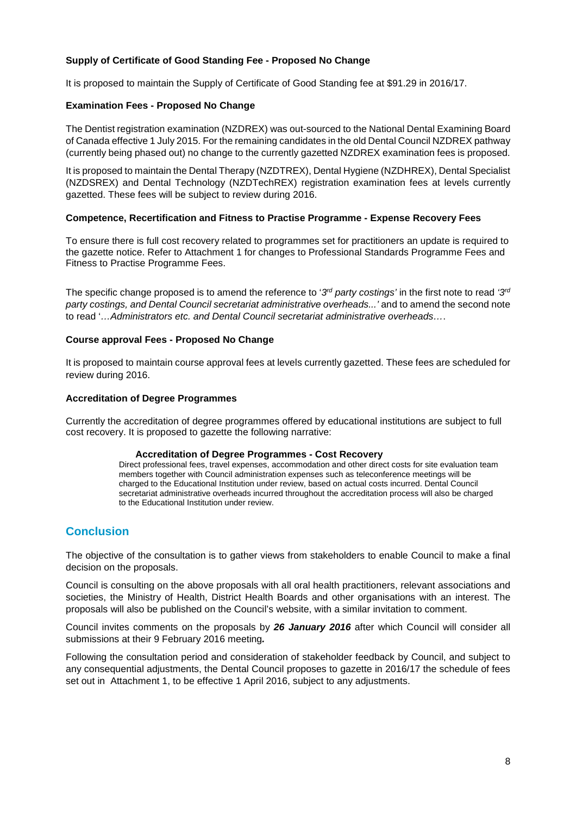## **Supply of Certificate of Good Standing Fee - Proposed No Change**

It is proposed to maintain the Supply of Certificate of Good Standing fee at \$91.29 in 2016/17.

#### **Examination Fees - Proposed No Change**

The Dentist registration examination (NZDREX) was out-sourced to the National Dental Examining Board of Canada effective 1 July 2015. For the remaining candidates in the old Dental Council NZDREX pathway (currently being phased out) no change to the currently gazetted NZDREX examination fees is proposed.

It is proposed to maintain the Dental Therapy (NZDTREX), Dental Hygiene (NZDHREX), Dental Specialist (NZDSREX) and Dental Technology (NZDTechREX) registration examination fees at levels currently gazetted. These fees will be subject to review during 2016.

#### **Competence, Recertification and Fitness to Practise Programme - Expense Recovery Fees**

To ensure there is full cost recovery related to programmes set for practitioners an update is required to the gazette notice. Refer to Attachment 1 for changes to Professional Standards Programme Fees and Fitness to Practise Programme Fees.

The specific change proposed is to amend the reference to '3<sup>rd</sup> party costings' in the first note to read '3<sup>rd</sup> party costings, and Dental Council secretariat administrative overheads...' and to amend the second note to read '…Administrators etc. and Dental Council secretariat administrative overheads….

#### **Course approval Fees - Proposed No Change**

It is proposed to maintain course approval fees at levels currently gazetted. These fees are scheduled for review during 2016.

#### **Accreditation of Degree Programmes**

Currently the accreditation of degree programmes offered by educational institutions are subject to full cost recovery. It is proposed to gazette the following narrative:

#### **Accreditation of Degree Programmes - Cost Recovery**

Direct professional fees, travel expenses, accommodation and other direct costs for site evaluation team members together with Council administration expenses such as teleconference meetings will be charged to the Educational Institution under review, based on actual costs incurred. Dental Council secretariat administrative overheads incurred throughout the accreditation process will also be charged to the Educational Institution under review.

# **Conclusion**

The objective of the consultation is to gather views from stakeholders to enable Council to make a final decision on the proposals.

Council is consulting on the above proposals with all oral health practitioners, relevant associations and societies, the Ministry of Health, District Health Boards and other organisations with an interest. The proposals will also be published on the Council's website, with a similar invitation to comment.

Council invites comments on the proposals by **26 January 2016** after which Council will consider all submissions at their 9 February 2016 meeting**.** 

Following the consultation period and consideration of stakeholder feedback by Council, and subject to any consequential adjustments, the Dental Council proposes to gazette in 2016/17 the schedule of fees set out in Attachment 1, to be effective 1 April 2016, subject to any adjustments.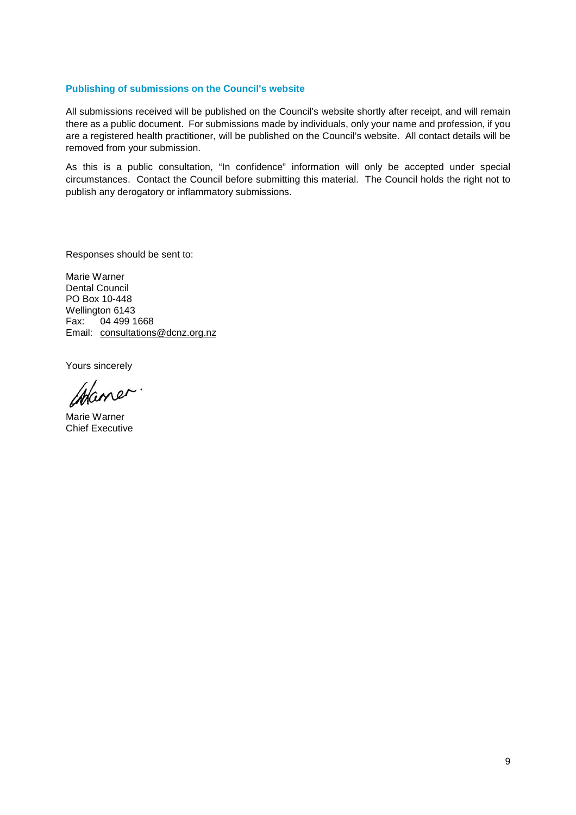#### **Publishing of submissions on the Council's website**

All submissions received will be published on the Council's website shortly after receipt, and will remain there as a public document. For submissions made by individuals, only your name and profession, if you are a registered health practitioner, will be published on the Council's website. All contact details will be removed from your submission.

As this is a public consultation, "In confidence" information will only be accepted under special circumstances. Contact the Council before submitting this material. The Council holds the right not to publish any derogatory or inflammatory submissions.

Responses should be sent to:

Marie Warner Dental Council PO Box 10-448 Wellington 6143 Fax: 04 499 1668 Email: consultations@dcnz.org.nz

Yours sincerely

Chaner

Marie Warner Chief Executive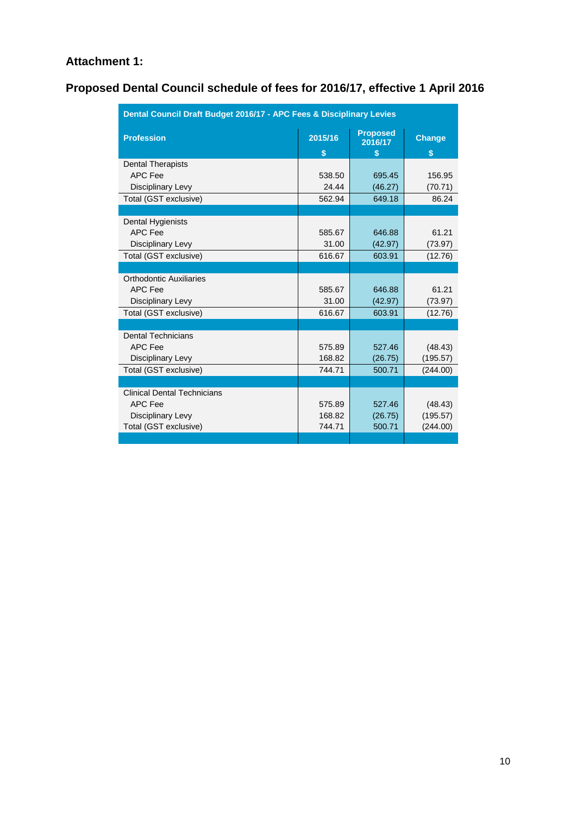# **Attachment 1:**

# **Proposed Dental Council schedule of fees for 2016/17, effective 1 April 2016**

| Dental Council Draft Budget 2016/17 - APC Fees & Disciplinary Levies |                                                   |         |                                     |  |  |
|----------------------------------------------------------------------|---------------------------------------------------|---------|-------------------------------------|--|--|
| <b>Profession</b>                                                    | <b>Proposed</b><br>2015/16<br>2016/17<br>\$<br>\$ |         | <b>Change</b><br>$\mathbf{\hat{s}}$ |  |  |
| <b>Dental Therapists</b>                                             |                                                   |         |                                     |  |  |
| <b>APC Fee</b>                                                       | 538.50                                            | 695.45  | 156.95                              |  |  |
| Disciplinary Levy                                                    | 24.44                                             | (46.27) | (70.71)                             |  |  |
| Total (GST exclusive)                                                | 562.94                                            | 649.18  | 86.24                               |  |  |
|                                                                      |                                                   |         |                                     |  |  |
| Dental Hygienists                                                    |                                                   |         |                                     |  |  |
| <b>APC Fee</b>                                                       | 585.67                                            | 646.88  | 61.21                               |  |  |
| Disciplinary Levy                                                    | 31.00                                             | (42.97) | (73.97)                             |  |  |
| Total (GST exclusive)                                                | 616.67                                            | 603.91  | (12.76)                             |  |  |
|                                                                      |                                                   |         |                                     |  |  |
| Orthodontic Auxiliaries                                              |                                                   |         |                                     |  |  |
| <b>APC Fee</b>                                                       | 585.67                                            | 646.88  | 61.21                               |  |  |
| Disciplinary Levy                                                    | 31.00                                             | (42.97) | (73.97)                             |  |  |
| Total (GST exclusive)                                                | 616.67                                            | 603.91  | (12.76)                             |  |  |
|                                                                      |                                                   |         |                                     |  |  |
| <b>Dental Technicians</b>                                            |                                                   |         |                                     |  |  |
| <b>APC Fee</b>                                                       | 575.89                                            | 527.46  | (48.43)                             |  |  |
| Disciplinary Levy                                                    | 168.82                                            | (26.75) | (195.57)                            |  |  |
| Total (GST exclusive)                                                | 744.71                                            | 500.71  | (244.00)                            |  |  |
|                                                                      |                                                   |         |                                     |  |  |
| <b>Clinical Dental Technicians</b>                                   |                                                   |         |                                     |  |  |
| <b>APC Fee</b>                                                       | 575.89                                            | 527.46  | (48.43)                             |  |  |
| Disciplinary Levy                                                    | 168.82                                            | (26.75) | (195.57)                            |  |  |
| Total (GST exclusive)                                                | 744.71                                            | 500.71  | (244.00)                            |  |  |
|                                                                      |                                                   |         |                                     |  |  |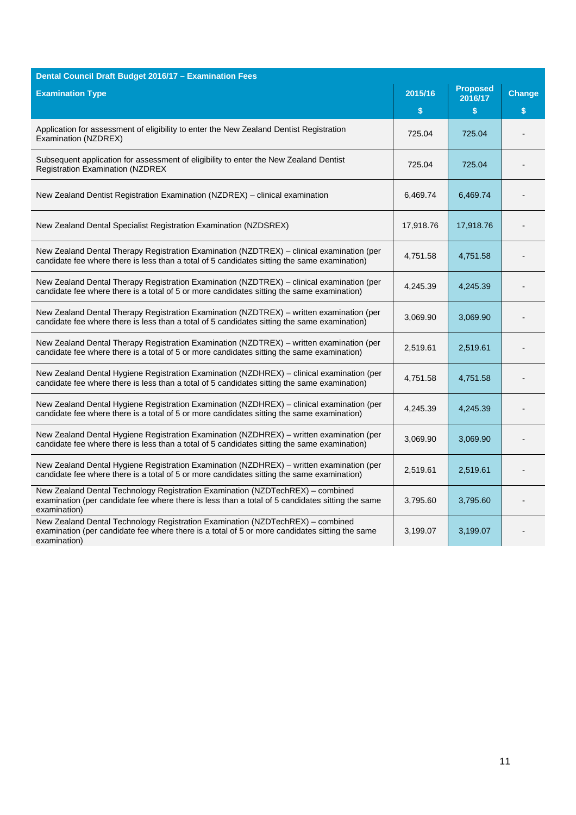| Dental Council Draft Budget 2016/17 - Examination Fees                                                                                                                                             |           |                            |               |
|----------------------------------------------------------------------------------------------------------------------------------------------------------------------------------------------------|-----------|----------------------------|---------------|
| <b>Examination Type</b>                                                                                                                                                                            | 2015/16   | <b>Proposed</b><br>2016/17 | <b>Change</b> |
|                                                                                                                                                                                                    | \$        | \$                         | \$            |
| Application for assessment of eligibility to enter the New Zealand Dentist Registration<br>Examination (NZDREX)                                                                                    | 725.04    | 725.04                     |               |
| Subsequent application for assessment of eligibility to enter the New Zealand Dentist<br><b>Registration Examination (NZDREX</b>                                                                   | 725.04    | 725.04                     |               |
| New Zealand Dentist Registration Examination (NZDREX) - clinical examination                                                                                                                       | 6,469.74  | 6,469.74                   |               |
| New Zealand Dental Specialist Registration Examination (NZDSREX)                                                                                                                                   | 17,918.76 | 17,918.76                  |               |
| New Zealand Dental Therapy Registration Examination (NZDTREX) - clinical examination (per<br>candidate fee where there is less than a total of 5 candidates sitting the same examination)          | 4,751.58  | 4,751.58                   |               |
| New Zealand Dental Therapy Registration Examination (NZDTREX) - clinical examination (per<br>candidate fee where there is a total of 5 or more candidates sitting the same examination)            | 4,245.39  | 4,245.39                   |               |
| New Zealand Dental Therapy Registration Examination (NZDTREX) – written examination (per<br>candidate fee where there is less than a total of 5 candidates sitting the same examination)           | 3,069.90  | 3,069.90                   |               |
| New Zealand Dental Therapy Registration Examination (NZDTREX) - written examination (per<br>candidate fee where there is a total of 5 or more candidates sitting the same examination)             | 2,519.61  | 2,519.61                   |               |
| New Zealand Dental Hygiene Registration Examination (NZDHREX) - clinical examination (per<br>candidate fee where there is less than a total of 5 candidates sitting the same examination)          | 4,751.58  | 4,751.58                   |               |
| New Zealand Dental Hygiene Registration Examination (NZDHREX) - clinical examination (per<br>candidate fee where there is a total of 5 or more candidates sitting the same examination)            | 4,245.39  | 4,245.39                   |               |
| New Zealand Dental Hygiene Registration Examination (NZDHREX) - written examination (per<br>candidate fee where there is less than a total of 5 candidates sitting the same examination)           | 3,069.90  | 3,069.90                   |               |
| New Zealand Dental Hygiene Registration Examination (NZDHREX) – written examination (per<br>candidate fee where there is a total of 5 or more candidates sitting the same examination)             | 2,519.61  | 2,519.61                   |               |
| New Zealand Dental Technology Registration Examination (NZDTechREX) – combined<br>examination (per candidate fee where there is less than a total of 5 candidates sitting the same<br>examination) | 3,795.60  | 3,795.60                   |               |
| New Zealand Dental Technology Registration Examination (NZDTechREX) - combined<br>examination (per candidate fee where there is a total of 5 or more candidates sitting the same<br>examination)   | 3,199.07  | 3,199.07                   |               |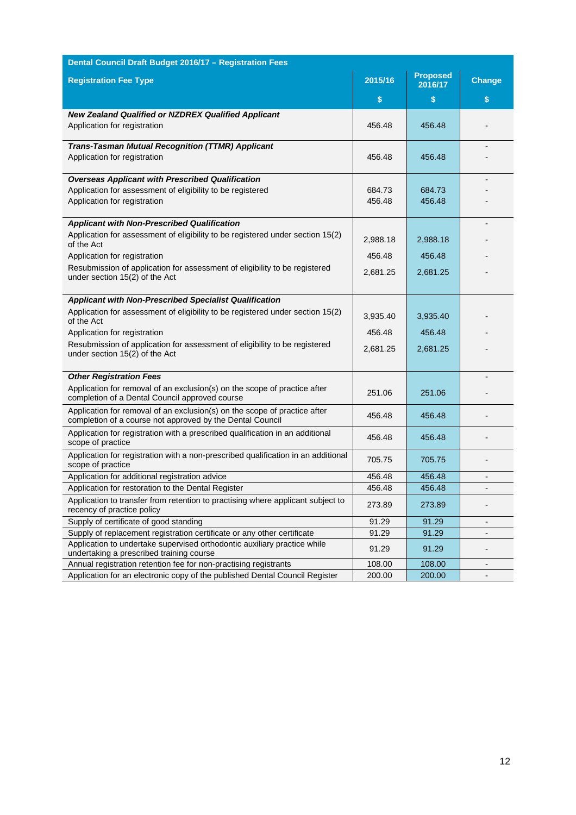| Dental Council Draft Budget 2016/17 - Registration Fees                                                                                               |                  |                            |                              |  |  |
|-------------------------------------------------------------------------------------------------------------------------------------------------------|------------------|----------------------------|------------------------------|--|--|
| <b>Registration Fee Type</b>                                                                                                                          | 2015/16          | <b>Proposed</b><br>2016/17 | <b>Change</b>                |  |  |
|                                                                                                                                                       | \$               | \$                         | \$                           |  |  |
| <b>New Zealand Qualified or NZDREX Qualified Applicant</b><br>Application for registration                                                            | 456.48           | 456.48                     |                              |  |  |
| <b>Trans-Tasman Mutual Recognition (TTMR) Applicant</b><br>Application for registration                                                               | 456.48           | 456.48                     |                              |  |  |
| <b>Overseas Applicant with Prescribed Qualification</b><br>Application for assessment of eligibility to be registered<br>Application for registration | 684.73<br>456.48 | 684.73<br>456.48           |                              |  |  |
| <b>Applicant with Non-Prescribed Qualification</b>                                                                                                    |                  |                            |                              |  |  |
| Application for assessment of eligibility to be registered under section 15(2)<br>of the Act                                                          | 2,988.18         | 2,988.18                   |                              |  |  |
| Application for registration                                                                                                                          | 456.48           | 456.48                     |                              |  |  |
| Resubmission of application for assessment of eligibility to be registered<br>under section 15(2) of the Act                                          | 2,681.25         | 2,681.25                   |                              |  |  |
| <b>Applicant with Non-Prescribed Specialist Qualification</b>                                                                                         |                  |                            |                              |  |  |
| Application for assessment of eligibility to be registered under section 15(2)<br>of the Act                                                          | 3,935.40         | 3,935.40                   |                              |  |  |
| Application for registration                                                                                                                          | 456.48           | 456.48                     |                              |  |  |
| Resubmission of application for assessment of eligibility to be registered<br>under section 15(2) of the Act                                          | 2,681.25         | 2,681.25                   |                              |  |  |
| <b>Other Registration Fees</b>                                                                                                                        |                  |                            |                              |  |  |
| Application for removal of an exclusion(s) on the scope of practice after<br>completion of a Dental Council approved course                           | 251.06           | 251.06                     |                              |  |  |
| Application for removal of an exclusion(s) on the scope of practice after<br>completion of a course not approved by the Dental Council                | 456.48           | 456.48                     |                              |  |  |
| Application for registration with a prescribed qualification in an additional<br>scope of practice                                                    | 456.48           | 456.48                     |                              |  |  |
| Application for registration with a non-prescribed qualification in an additional<br>scope of practice                                                | 705.75           | 705.75                     |                              |  |  |
| Application for additional registration advice                                                                                                        | 456.48           | 456.48                     | $\overline{\phantom{a}}$     |  |  |
| Application for restoration to the Dental Register                                                                                                    | 456.48           | 456.48                     |                              |  |  |
| Application to transfer from retention to practising where applicant subject to<br>recency of practice policy                                         | 273.89           | 273.89                     |                              |  |  |
| Supply of certificate of good standing                                                                                                                | 91.29            | 91.29                      | $\qquad \qquad \blacksquare$ |  |  |
| Supply of replacement registration certificate or any other certificate                                                                               | 91.29            | 91.29                      |                              |  |  |
| Application to undertake supervised orthodontic auxiliary practice while<br>undertaking a prescribed training course                                  | 91.29            | 91.29                      |                              |  |  |
| Annual registration retention fee for non-practising registrants                                                                                      | 108.00           | 108.00                     | $\overline{\phantom{a}}$     |  |  |
| Application for an electronic copy of the published Dental Council Register                                                                           | 200.00           | 200.00                     | $\qquad \qquad \blacksquare$ |  |  |